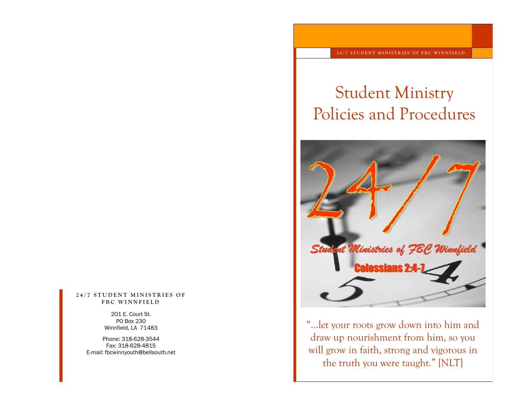#### 24/7 STUDENT MINISTRIES OF **F B C W I N N F I E L D**

201 E. Court St. PO Box 230 Winnfield, LA 71483

Phone: 318-628-3544 Fax: 318-628-4815 E-mail: fbcwinnyouth@bellsouth.net

# Student Ministry Policies and Procedures



"...let your roots grow down into him and draw up nourishment from him, so you will grow in faith, strong and vigorous in the truth you were taught." [NLT]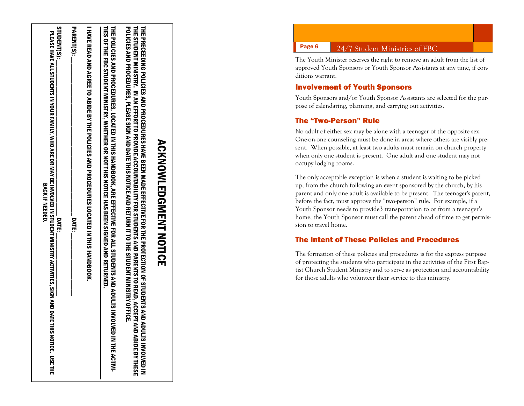| STUDENT(S):<br>PLEASE HAVE ALL STUDENTS IN YOUR FAMILY, WHO ARE OR MAY BE INVOLVED IN STUDENT MINISTRY ACTIVITIES, SIGN AND DATE THIS NOTICE. USE THE<br><b>BACK IF NEEDED:</b><br><b>DATE:</b> | PARENT(S):<br><b>DATE:</b> | I HAVE REVEND AGRESS THE POLICIES AND PROCED CRESS COLLINES AND AGRESS THAS DROCK. | THE POLICIES SARA DOUS SALES TRANSPORSES AND THIS THIS THIS THIS THE DIFFOLL OF THIS TO DES SHOLICIES SONG THI<br><b>ILES OF THE REQ STATE INTERVANCEMENT SERVICE AS SERIFF SURFEX SURFER SURFER DRENG SURFER OF THE SOF</b><br><b>OLVED IN THE ACTIVI</b> | POLICES AND DROCODRES, "CHASES JONG A ADD ATH IN IS NOLICE A JONG A THE HIS NOT A CHASES AND HOLICES AND THE SLIP<br>THE PRECENSION OF STRONG POLICE PROSECTIVE FOR THE CONSECTIVE BUSING STRONG COOP PRECENSION OF STRONG PRECENSION OF STRONG PRECENSION OF STRONG PROFILM<br>THE STUDENT MINISTRY . YOU THAT THE STATE STATE STORE STORES AND FOUR STATE STATE STORES THE STOLE STOLEN WAS THE STOLEN THAT STOLEN STATES TO A STATE STOLEN WAS STATED FOUR STATES TO A STATE STOLEN THAT STOLEN THAT STOLEN<br><b>ADULTS INVOLVED IN</b><br><b>AND ABIDE BY THESE</b> |
|-------------------------------------------------------------------------------------------------------------------------------------------------------------------------------------------------|----------------------------|------------------------------------------------------------------------------------|------------------------------------------------------------------------------------------------------------------------------------------------------------------------------------------------------------------------------------------------------------|--------------------------------------------------------------------------------------------------------------------------------------------------------------------------------------------------------------------------------------------------------------------------------------------------------------------------------------------------------------------------------------------------------------------------------------------------------------------------------------------------------------------------------------------------------------------------|

ACKNOWLEDGMENT NOTICE

**ACKNOWLEDGMENT NOTICE** 

# Page 6 24/7 Student Ministries of FBC

The Youth Minister reserves the right to remove an adult from the list of approved Youth Sponsors or Youth Sponsor Assistants at any time, if conditions warrant.

#### Involvement of Youth Sponsors

Youth Sponsors and/or Youth Sponsor Assistants are selected for the purpose of calendaring, planning, and carrying out activities.

#### The "Two -Person" Rule

No adult of either sex may be alone with a teenager of the opposite sex. One -on -one counseling must be done in areas where others are visibly present. When possible, at least two adults must remain on church property when only one student is present. One adult and one student may not occupy lodging rooms.

The only acceptable exception is when a student is waiting to be picked up, from the church following an event sponsored by the church, by his parent and only one adult is available to be present. The teenager's parent, before the fact, must approve the "two -person" rule. For example, if a Youth Sponsor needs to provide3 transportation to or from a teenager's home, the Youth Sponsor must call the parent ahead of time to get permission to travel home.

#### The Intent of These Policies and Procedures

The formation of these policies and procedures is for the express purpose of protecting the students who participate in the activities of the First Baptist Church Student Ministry and to serve as protection and accountability for those adults who volunteer their service to this ministry.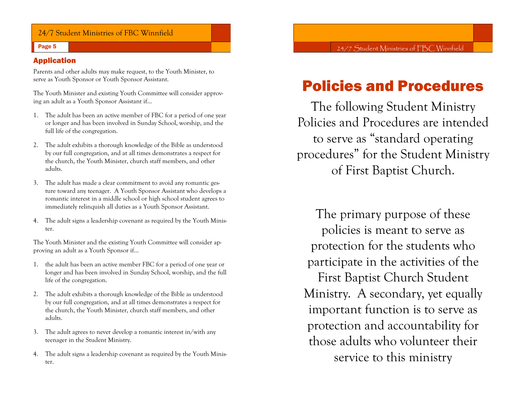## 24/7 Student Ministries of FBC Winnfield

#### Page 5

#### Application

Parents and other adults may make request, to the Youth Minister, to serve as Youth Sponsor or Youth Sponsor Assistant.

The Youth Minister and existing Youth Committee will consider approving an adult as a Youth Sponsor Assistant if…

- 1. The adult has been an active member of FBC for a period of one year or longer and has been involved in Sunday School, worship, and the full life of the congregation.
- 2. The adult exhibits a thorough knowledge of the Bible as understood by our full congregation, and at all times demonstrates a respect for the church, the Youth Minister, church staff members, and other adults.
- 3. The adult has made a clear commitment to avoid any romantic gesture toward any teenager. A Youth Sponsor Assistant who develops a romantic interest in a middle school or high school student agrees to immediately relinquish all duties as a Youth Sponsor Assistant.
- 4. The adult signs a leadership covenant as required by the Youth Minister.

The Youth Minister and the existing Youth Committee will consider approving an adult as a Youth Sponsor if…

- 1. the adult has been an active member FBC for a period of one year or longer and has been involved in Sunday School, worship, and the full life of the congregation.
- 2. The adult exhibits a thorough knowledge of the Bible as understood by our full congregation, and at all times demonstrates a respect for the church, the Youth Minister, church staff members, and other adults.
- 3. The adult agrees to never develop a romantic interest in/with any teenager in the Student Ministry.
- 4. The adult signs a leadership covenant as required by the Youth Minister.

24/7 Student Ministries of FBC Winnfield

# Policies and Procedures

The following Student Ministry Policies and Procedures are intended to serve as "standard operating procedures" for the Student Ministry of First Baptist Church.

The primary purpose of these policies is meant to serve as protection for the students who participate in the activities of the First Baptist Church Student Ministry. A secondary, yet equally important function is to serve as protection and accountability for those adults who volunteer their service to this ministry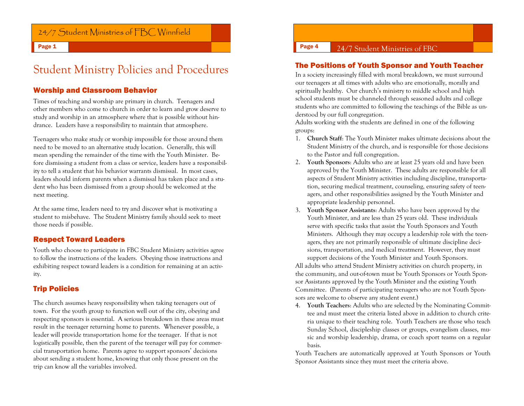# 24/7 Student Ministries of FBC Winnfield

Page 1

# Student Ministry Policies and Procedures

#### Worship and Classroom Behavior

Times of teaching and worship are primary in church. Teenagers and other members who come to church in order to learn and grow deserve to study and worship in an atmosphere where that is possible without hindrance. Leaders have a responsibility to maintain that atmosphere.

Teenagers who make study or worship impossible for those around them need to be moved to an alternative study location. Generally, this will mean spending the remainder of the time with the Youth Minister. Before dismissing a student from a class or service, leaders have a responsibility to tell a student that his behavior warrants dismissal. In most cases, leaders should inform parents when a dismissal has taken place and a student who has been dismissed from a group should be welcomed at the next meeting.

At the same time, leaders need to try and discover what is motivating a student to misbehave. The Student Ministry family should seek to meet those needs if possible.

#### Respect Toward Leaders

Youth who choose to participate in FBC Student Ministry activities agree to follow the instructions of the leaders. Obeying those instructions and exhibiting respect toward leaders is a condition for remaining at an activity.

## Trip Policies

The church assumes heavy responsibility when taking teenagers out of town. For the youth group to function well out of the city, obeying and respecting sponsors is essential. A serious breakdown in these areas must result in the teenager returning home to parents. Whenever possible, a leader will provide transportation home for the teenager. If that is not logistically possible, then the parent of the teenager will pay for commercial transportation home. Parents agree to support sponsors' decisions about sending a student home, knowing that only those present on the trip can know all the variables involved.

#### The Positions of Youth Sponsor and Youth Teacher

In a society increasingly filled with moral breakdown, we must surround our teenagers at all times with adults who are emotionally, morally and spiritually healthy. Our church's ministry to middle school and high school students must be channeled through seasoned adults and college students who are committed to following the teachings of the Bible as understood by our full congregation.

Adults working with the students are defined in one of the following groups:

- 1. **Church Staff**: The Youth Minister makes ultimate decisions about the Student Ministry of the church, and is responsible for those decisions to the Pastor and full congregation.
- 2. **Youth Sponsors**: Adults who are at least 25 years old and have been approved by the Youth Minister. These adults are responsible for all aspects of Student Ministry activities including discipline, transportation, securing medical treatment, counseling, ensuring safety of teenagers, and other responsibilities assigned by the Youth Minister and appropriate leadership personnel.
- 3. **Youth Sponsor Assistants**: Adults who have been approved by the Youth Minister, and are less than 25 years old. These individuals serve with specific tasks that assist the Youth Sponsors and Youth Ministers. Although they may occupy a leadership role with the teenagers, they are not primarily responsible of ultimate discipline decisions, transportation, and medical treatment. However, they must support decisions of the Youth Minister and Youth Sponsors.

All adults who attend Student Ministry activities on church property, in the community, and out-of-town must be Youth Sponsors or Youth Sponsor Assistants approved by the Youth Minister and the existing Youth Committee. (Parents of participating teenagers who are not Youth Sponsors are welcome to observe any student event.)

4. **Youth Teachers**: Adults who are selected by the Nominating Committee and must meet the criteria listed above in addition to church criteria unique to their teaching role. Youth Teachers are those who teach Sunday School, discipleship classes or groups, evangelism classes, music and worship leadership, drama, or coach sport teams on a regular basis.

Youth Teachers are automatically approved at Youth Sponsors or Youth Sponsor Assistants since they must meet the criteria above.